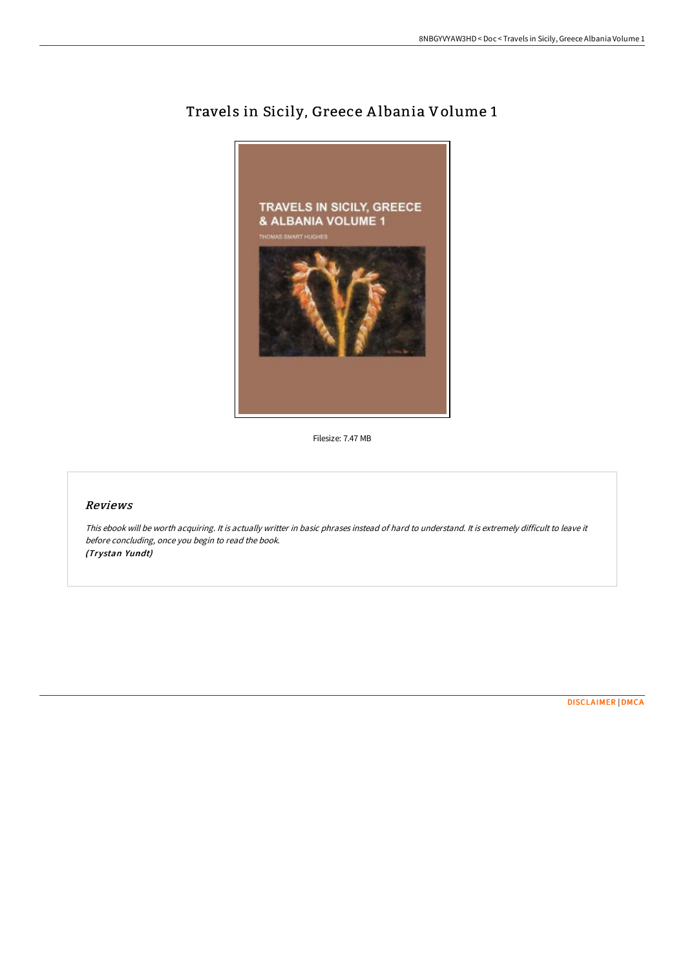

## Travels in Sicily, Greece A lbania Volume 1

Filesize: 7.47 MB

## Reviews

This ebook will be worth acquiring. It is actually writter in basic phrases instead of hard to understand. It is extremely difficult to leave it before concluding, once you begin to read the book. (Trystan Yundt)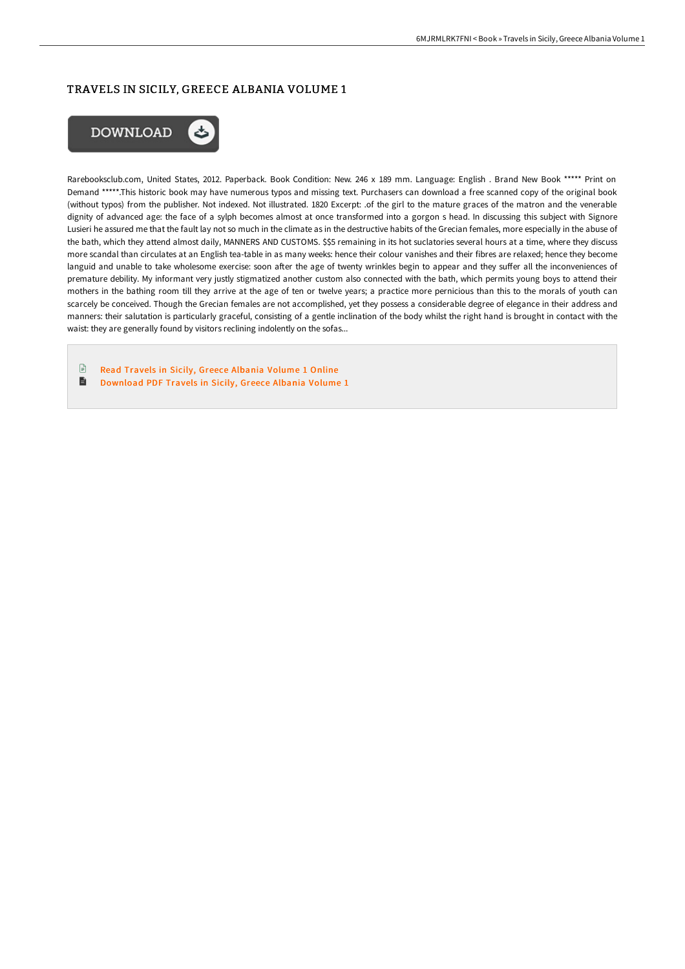## TRAVELS IN SICILY, GREECE ALBANIA VOLUME 1



Rarebooksclub.com, United States, 2012. Paperback. Book Condition: New. 246 x 189 mm. Language: English . Brand New Book \*\*\*\*\* Print on Demand \*\*\*\*\*.This historic book may have numerous typos and missing text. Purchasers can download a free scanned copy of the original book (without typos) from the publisher. Not indexed. Not illustrated. 1820 Excerpt: .of the girl to the mature graces of the matron and the venerable dignity of advanced age: the face of a sylph becomes almost at once transformed into a gorgon s head. In discussing this subject with Signore Lusieri he assured me that the fault lay not so much in the climate as in the destructive habits of the Grecian females, more especially in the abuse of the bath, which they attend almost daily, MANNERS AND CUSTOMS. \$\$5 remaining in its hot suclatories several hours at a time, where they discuss more scandal than circulates at an English tea-table in as many weeks: hence their colour vanishes and their fibres are relaxed; hence they become languid and unable to take wholesome exercise: soon after the age of twenty wrinkles begin to appear and they suffer all the inconveniences of premature debility. My informant very justly stigmatized another custom also connected with the bath, which permits young boys to attend their mothers in the bathing room till they arrive at the age of ten or twelve years; a practice more pernicious than this to the morals of youth can scarcely be conceived. Though the Grecian females are not accomplished, yet they possess a considerable degree of elegance in their address and manners: their salutation is particularly graceful, consisting of a gentle inclination of the body whilst the right hand is brought in contact with the waist: they are generally found by visitors reclining indolently on the sofas...

 $\begin{array}{c} \hline \Xi \end{array}$ Read Travels in Sicily, Greece [Albania](http://techno-pub.tech/travels-in-sicily-greece-albania-volume-1-paperb.html) Volume 1 Online  $\blacksquare$ [Download](http://techno-pub.tech/travels-in-sicily-greece-albania-volume-1-paperb.html) PDF Travels in Sicily, Greece Albania Volume 1